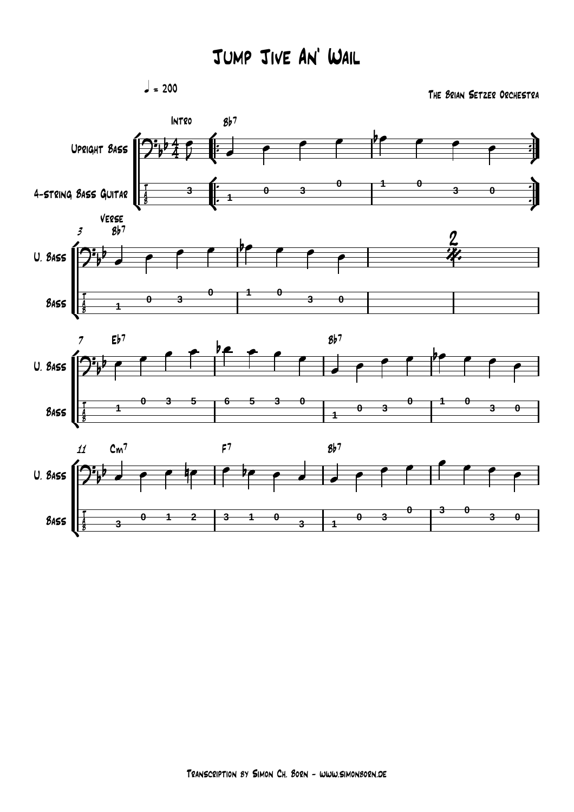q *= 200*

*The Brian Setzer Orchestra*

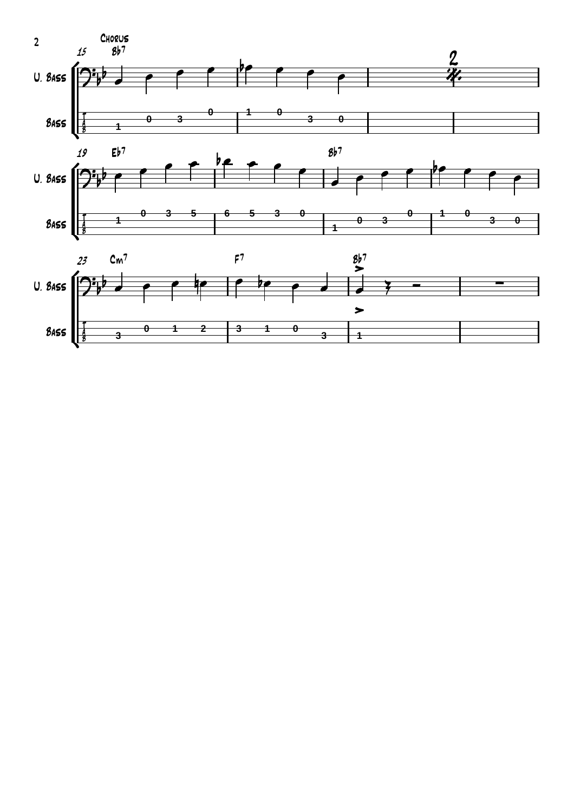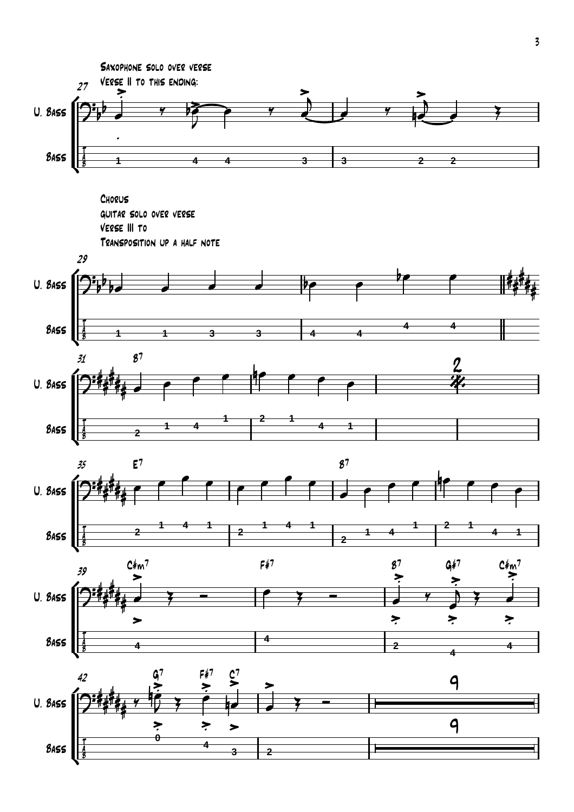